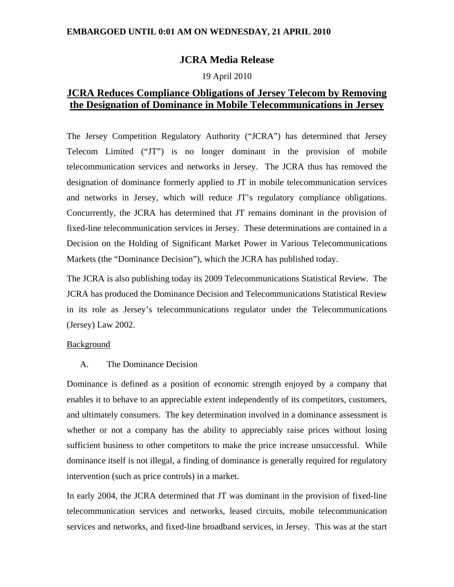# **EMBARGOED UNTIL 0:01 AM ON WEDNESDAY, 21 APRIL 2010**

# **JCRA Media Release**

## 19 April 2010

# **JCRA Reduces Compliance Obligations of Jersey Telecom by Removing the Designation of Dominance in Mobile Telecommunications in Jersey**

The Jersey Competition Regulatory Authority ("JCRA") has determined that Jersey Telecom Limited ("JT") is no longer dominant in the provision of mobile telecommunication services and networks in Jersey. The JCRA thus has removed the designation of dominance formerly applied to JT in mobile telecommunication services and networks in Jersey, which will reduce JT's regulatory compliance obligations. Concurrently, the JCRA has determined that JT remains dominant in the provision of fixed-line telecommunication services in Jersey. These determinations are contained in a Decision on the Holding of Significant Market Power in Various Telecommunications Markets (the "Dominance Decision"), which the JCRA has published today.

The JCRA is also publishing today its 2009 Telecommunications Statistical Review. The JCRA has produced the Dominance Decision and Telecommunications Statistical Review in its role as Jersey's telecommunications regulator under the Telecommunications (Jersey) Law 2002.

## **Background**

A. The Dominance Decision

Dominance is defined as a position of economic strength enjoyed by a company that enables it to behave to an appreciable extent independently of its competitors, customers, and ultimately consumers. The key determination involved in a dominance assessment is whether or not a company has the ability to appreciably raise prices without losing sufficient business to other competitors to make the price increase unsuccessful. While dominance itself is not illegal, a finding of dominance is generally required for regulatory intervention (such as price controls) in a market.

In early 2004, the JCRA determined that JT was dominant in the provision of fixed-line telecommunication services and networks, leased circuits, mobile telecommunication services and networks, and fixed-line broadband services, in Jersey. This was at the start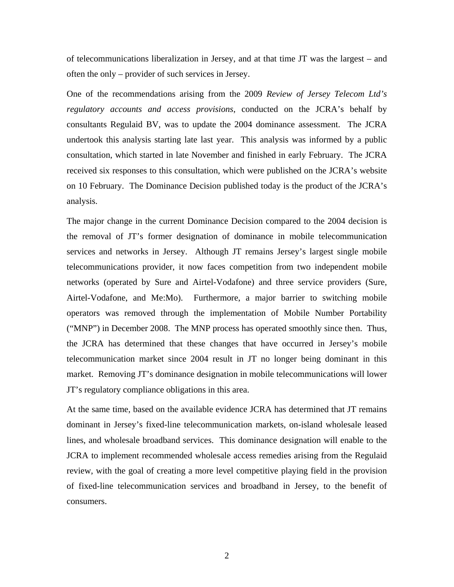of telecommunications liberalization in Jersey, and at that time JT was the largest – and often the only – provider of such services in Jersey.

One of the recommendations arising from the 2009 *Review of Jersey Telecom Ltd's regulatory accounts and access provisions*, conducted on the JCRA's behalf by consultants Regulaid BV, was to update the 2004 dominance assessment. The JCRA undertook this analysis starting late last year. This analysis was informed by a public consultation, which started in late November and finished in early February. The JCRA received six responses to this consultation, which were published on the JCRA's website on 10 February. The Dominance Decision published today is the product of the JCRA's analysis.

The major change in the current Dominance Decision compared to the 2004 decision is the removal of JT's former designation of dominance in mobile telecommunication services and networks in Jersey. Although JT remains Jersey's largest single mobile telecommunications provider, it now faces competition from two independent mobile networks (operated by Sure and Airtel-Vodafone) and three service providers (Sure, Airtel-Vodafone, and Me:Mo). Furthermore, a major barrier to switching mobile operators was removed through the implementation of Mobile Number Portability ("MNP") in December 2008. The MNP process has operated smoothly since then. Thus, the JCRA has determined that these changes that have occurred in Jersey's mobile telecommunication market since 2004 result in JT no longer being dominant in this market. Removing JT's dominance designation in mobile telecommunications will lower JT's regulatory compliance obligations in this area.

At the same time, based on the available evidence JCRA has determined that JT remains dominant in Jersey's fixed-line telecommunication markets, on-island wholesale leased lines, and wholesale broadband services. This dominance designation will enable to the JCRA to implement recommended wholesale access remedies arising from the Regulaid review, with the goal of creating a more level competitive playing field in the provision of fixed-line telecommunication services and broadband in Jersey, to the benefit of consumers.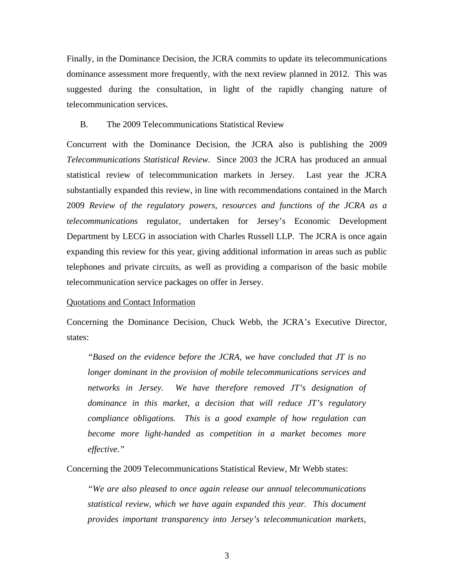Finally, in the Dominance Decision, the JCRA commits to update its telecommunications dominance assessment more frequently, with the next review planned in 2012. This was suggested during the consultation, in light of the rapidly changing nature of telecommunication services.

#### B. The 2009 Telecommunications Statistical Review

Concurrent with the Dominance Decision, the JCRA also is publishing the 2009 *Telecommunications Statistical Review*. Since 2003 the JCRA has produced an annual statistical review of telecommunication markets in Jersey. Last year the JCRA substantially expanded this review, in line with recommendations contained in the March 2009 *Review of the regulatory powers, resources and functions of the JCRA as a telecommunications* regulator, undertaken for Jersey's Economic Development Department by LECG in association with Charles Russell LLP. The JCRA is once again expanding this review for this year, giving additional information in areas such as public telephones and private circuits, as well as providing a comparison of the basic mobile telecommunication service packages on offer in Jersey.

#### Quotations and Contact Information

Concerning the Dominance Decision, Chuck Webb, the JCRA's Executive Director, states:

*"Based on the evidence before the JCRA, we have concluded that JT is no longer dominant in the provision of mobile telecommunications services and networks in Jersey. We have therefore removed JT's designation of dominance in this market, a decision that will reduce JT's regulatory compliance obligations. This is a good example of how regulation can become more light-handed as competition in a market becomes more effective."* 

Concerning the 2009 Telecommunications Statistical Review, Mr Webb states:

*"We are also pleased to once again release our annual telecommunications statistical review, which we have again expanded this year. This document provides important transparency into Jersey's telecommunication markets,*